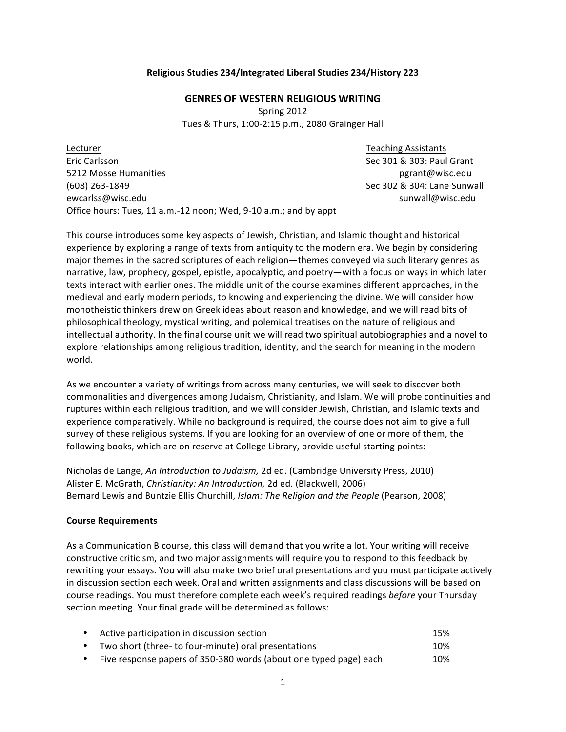### **Religious Studies 234/Integrated Liberal Studies 234/History 223**

#### **GENRES OF WESTERN RELIGIOUS WRITING**

Spring 2012 Tues & Thurs, 1:00-2:15 p.m., 2080 Grainger Hall

Lecturer Teaching Assistants and the United States of the United States and Teaching Assistants and Teaching Assistants Eric Carlsson Section Section 2018 10:00 Sec 301 & 303: Paul Grant 5212 Mosse Humanities pgrant@wisc.edu (608) 263-1849 Sec 302 & 304: Lane Sunwall ewcarlss@wisc.edu sunwall@wisc.edu sunwall@wisc.edu sunwall@wisc.edu Office hours: Tues, 11 a.m.-12 noon; Wed, 9-10 a.m.; and by appt

This course introduces some key aspects of Jewish, Christian, and Islamic thought and historical experience by exploring a range of texts from antiquity to the modern era. We begin by considering major themes in the sacred scriptures of each religion—themes conveyed via such literary genres as narrative, law, prophecy, gospel, epistle, apocalyptic, and poetry—with a focus on ways in which later texts interact with earlier ones. The middle unit of the course examines different approaches, in the medieval and early modern periods, to knowing and experiencing the divine. We will consider how monotheistic thinkers drew on Greek ideas about reason and knowledge, and we will read bits of philosophical theology, mystical writing, and polemical treatises on the nature of religious and intellectual authority. In the final course unit we will read two spiritual autobiographies and a novel to explore relationships among religious tradition, identity, and the search for meaning in the modern world.

As we encounter a variety of writings from across many centuries, we will seek to discover both commonalities and divergences among Judaism, Christianity, and Islam. We will probe continuities and ruptures within each religious tradition, and we will consider Jewish, Christian, and Islamic texts and experience comparatively. While no background is required, the course does not aim to give a full survey of these religious systems. If you are looking for an overview of one or more of them, the following books, which are on reserve at College Library, provide useful starting points:

Nicholas de Lange, *An Introduction to Judaism*, 2d ed. (Cambridge University Press, 2010) Alister E. McGrath, *Christianity: An Introduction*, 2d ed. (Blackwell, 2006) Bernard Lewis and Buntzie Ellis Churchill, *Islam: The Religion and the People* (Pearson, 2008)

### **Course Requirements**

As a Communication B course, this class will demand that you write a lot. Your writing will receive constructive criticism, and two major assignments will require you to respond to this feedback by rewriting your essays. You will also make two brief oral presentations and you must participate actively in discussion section each week. Oral and written assignments and class discussions will be based on course readings. You must therefore complete each week's required readings before your Thursday section meeting. Your final grade will be determined as follows:

| Active participation in discussion section           | 15%                         |
|------------------------------------------------------|-----------------------------|
| Two short (three- to four-minute) oral presentations | 10%                         |
| $\sim$ $\sim$ $\sim$ $\sim$ $\sim$                   | $\sim$ $\sim$ $\sim$ $\sim$ |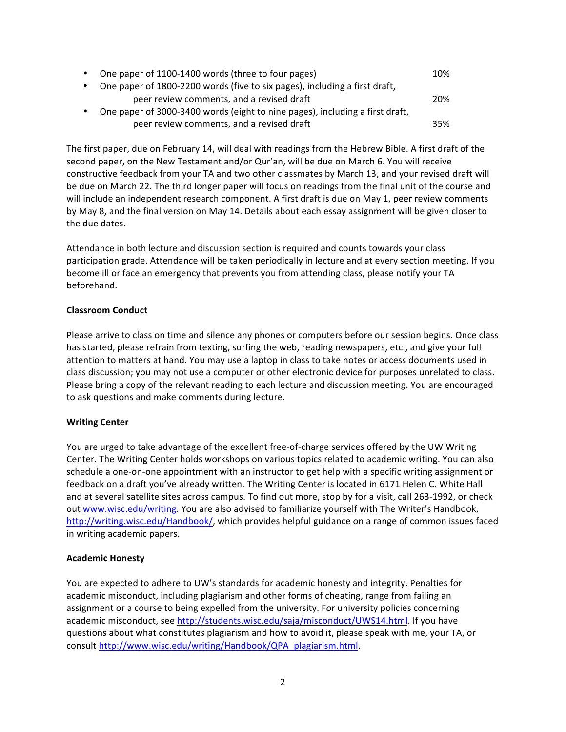| One paper of 1100-1400 words (three to four pages)                           | 10% |  |
|------------------------------------------------------------------------------|-----|--|
| One paper of 1800-2200 words (five to six pages), including a first draft,   |     |  |
| peer review comments, and a revised draft                                    | 20% |  |
| One paper of 3000-3400 words (eight to nine pages), including a first draft, |     |  |
| peer review comments, and a revised draft                                    | 35% |  |

The first paper, due on February 14, will deal with readings from the Hebrew Bible. A first draft of the second paper, on the New Testament and/or Qur'an, will be due on March 6. You will receive constructive feedback from your TA and two other classmates by March 13, and your revised draft will be due on March 22. The third longer paper will focus on readings from the final unit of the course and will include an independent research component. A first draft is due on May 1, peer review comments by May 8, and the final version on May 14. Details about each essay assignment will be given closer to the due dates.

Attendance in both lecture and discussion section is required and counts towards your class participation grade. Attendance will be taken periodically in lecture and at every section meeting. If you become ill or face an emergency that prevents you from attending class, please notify your TA beforehand.

# **Classroom Conduct**

Please arrive to class on time and silence any phones or computers before our session begins. Once class has started, please refrain from texting, surfing the web, reading newspapers, etc., and give your full attention to matters at hand. You may use a laptop in class to take notes or access documents used in class discussion; you may not use a computer or other electronic device for purposes unrelated to class. Please bring a copy of the relevant reading to each lecture and discussion meeting. You are encouraged to ask questions and make comments during lecture.

# **Writing Center**

You are urged to take advantage of the excellent free-of-charge services offered by the UW Writing Center. The Writing Center holds workshops on various topics related to academic writing. You can also schedule a one-on-one appointment with an instructor to get help with a specific writing assignment or feedback on a draft you've already written. The Writing Center is located in 6171 Helen C. White Hall and at several satellite sites across campus. To find out more, stop by for a visit, call 263-1992, or check out www.wisc.edu/writing. You are also advised to familiarize yourself with The Writer's Handbook, http://writing.wisc.edu/Handbook/, which provides helpful guidance on a range of common issues faced in writing academic papers.

# **Academic Honesty**

You are expected to adhere to UW's standards for academic honesty and integrity. Penalties for academic misconduct, including plagiarism and other forms of cheating, range from failing an assignment or a course to being expelled from the university. For university policies concerning academic misconduct, see http://students.wisc.edu/saja/misconduct/UWS14.html. If you have questions about what constitutes plagiarism and how to avoid it, please speak with me, your TA, or consult http://www.wisc.edu/writing/Handbook/QPA\_plagiarism.html.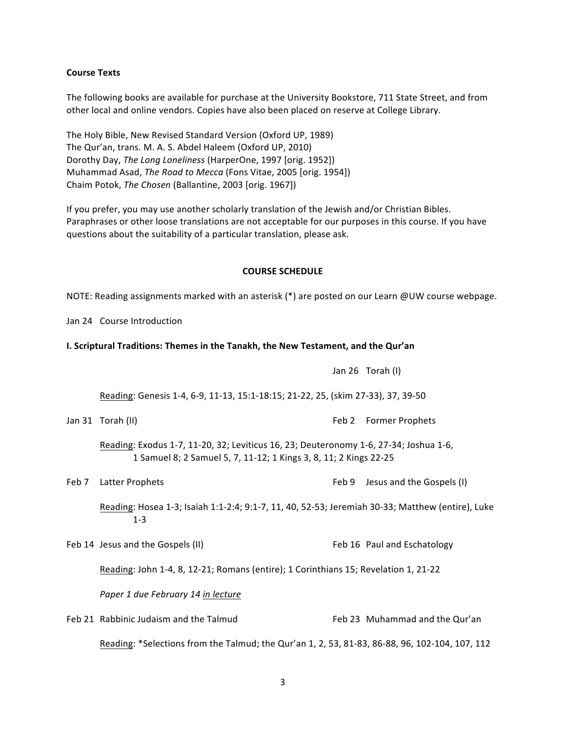#### **Course Texts**

The following books are available for purchase at the University Bookstore, 711 State Street, and from other local and online vendors. Copies have also been placed on reserve at College Library.

The Holy Bible, New Revised Standard Version (Oxford UP, 1989) The Qur'an, trans. M. A. S. Abdel Haleem (Oxford UP, 2010) Dorothy Day, The Long Loneliness (HarperOne, 1997 [orig. 1952]) Muhammad Asad, *The Road to Mecca* (Fons Vitae, 2005 [orig. 1954]) Chaim Potok, *The Chosen* (Ballantine, 2003 [orig. 1967])

If you prefer, you may use another scholarly translation of the Jewish and/or Christian Bibles. Paraphrases or other loose translations are not acceptable for our purposes in this course. If you have questions about the suitability of a particular translation, please ask.

#### **COURSE SCHEDULE**

NOTE: Reading assignments marked with an asterisk (\*) are posted on our Learn @UW course webpage.

Jan 24 Course Introduction

#### **I. Scriptural Traditions: Themes in the Tanakh, the New Testament, and the Qur'an**

|       |                                                                                                                                                            |       | Jan 26 Torah (I)               |  |  |
|-------|------------------------------------------------------------------------------------------------------------------------------------------------------------|-------|--------------------------------|--|--|
|       | Reading: Genesis 1-4, 6-9, 11-13, 15:1-18:15; 21-22, 25, (skim 27-33), 37, 39-50                                                                           |       |                                |  |  |
|       | Jan 31 Torah (II)                                                                                                                                          |       | Feb 2 Former Prophets          |  |  |
|       | Reading: Exodus 1-7, 11-20, 32; Leviticus 16, 23; Deuteronomy 1-6, 27-34; Joshua 1-6,<br>1 Samuel 8; 2 Samuel 5, 7, 11-12; 1 Kings 3, 8, 11; 2 Kings 22-25 |       |                                |  |  |
| Feb 7 | Latter Prophets                                                                                                                                            | Feb 9 | Jesus and the Gospels (I)      |  |  |
|       | Reading: Hosea 1-3; Isaiah 1:1-2:4; 9:1-7, 11, 40, 52-53; Jeremiah 30-33; Matthew (entire), Luke<br>$1 - 3$                                                |       |                                |  |  |
|       | Feb 14 Jesus and the Gospels (II)                                                                                                                          |       | Feb 16 Paul and Eschatology    |  |  |
|       | Reading: John 1-4, 8, 12-21; Romans (entire); 1 Corinthians 15; Revelation 1, 21-22                                                                        |       |                                |  |  |
|       | Paper 1 due February 14 in lecture                                                                                                                         |       |                                |  |  |
|       | Feb 21 Rabbinic Judaism and the Talmud                                                                                                                     |       | Feb 23 Muhammad and the Qur'an |  |  |
|       | Reading: *Selections from the Talmud; the Qur'an 1, 2, 53, 81-83, 86-88, 96, 102-104, 107, 112                                                             |       |                                |  |  |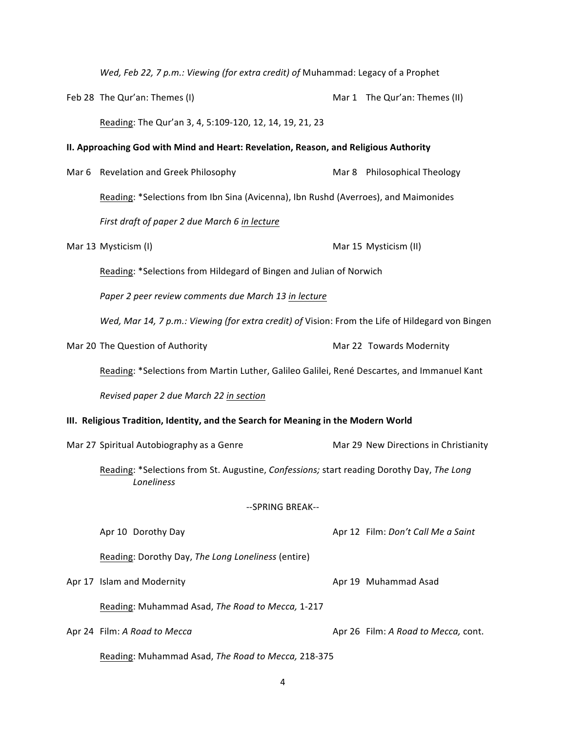*Wed, Feb 22, 7 p.m.: Viewing (for extra credit) of Muhammad: Legacy of a Prophet* 

Feb 28 The Qur'an: Themes (I) example a metal of Mar 1 The Qur'an: Themes (II) Reading: The Qur'an 3, 4, 5:109-120, 12, 14, 19, 21, 23

#### **II. Approaching God with Mind and Heart: Revelation, Reason, and Religious Authority**

Mar 6 Revelation and Greek Philosophy Mar 8 Philosophical Theology Reading: \*Selections from Ibn Sina (Avicenna), Ibn Rushd (Averroes), and Maimonides First draft of paper 2 due March 6 in lecture

| Mar 13 Mysticism (I) | Mar 15 Mysticism (II) |
|----------------------|-----------------------|
|----------------------|-----------------------|

Reading: \*Selections from Hildegard of Bingen and Julian of Norwich

Paper 2 peer review comments due March 13 in lecture

*Wed, Mar 14, 7 p.m.: Viewing (for extra credit) of Vision: From the Life of Hildegard von Bingen* 

Mar 20 The Question of Authority Mar 22 Towards Modernity

Reading: \*Selections from Martin Luther, Galileo Galilei, René Descartes, and Immanuel Kant

*Revised paper 2 due March 22 in section*

#### **III.** Religious Tradition, Identity, and the Search for Meaning in the Modern World

Mar 27 Spiritual Autobiography as a Genre Marrow Mar 29 New Directions in Christianity

Reading: \*Selections from St. Augustine, *Confessions;* start reading Dorothy Day, The Long *Loneliness*

--SPRING BREAK--

Apr 10 Dorothy Day **Apronic Aproximate Aproximate Aproximate** Aproximate Aproximate Aproximate Aproximate Aproximate Aproximate Aproximate Aproximate Aproximate Aproximate Aproximate Aproximate Aproximate Aproximate Aproxi

Reading: Dorothy Day, The Long Loneliness (entire)

Apr 17 Islam and Modernity **April 19 Apr 19 Muhammad Asad** 

Reading: Muhammad Asad, *The Road to Mecca*, 1-217

Apr 24 Film: A Road to Mecca and *Apr 26 Film: A Road to Mecca,* cont.

Reading: Muhammad Asad, *The Road to Mecca*, 218-375